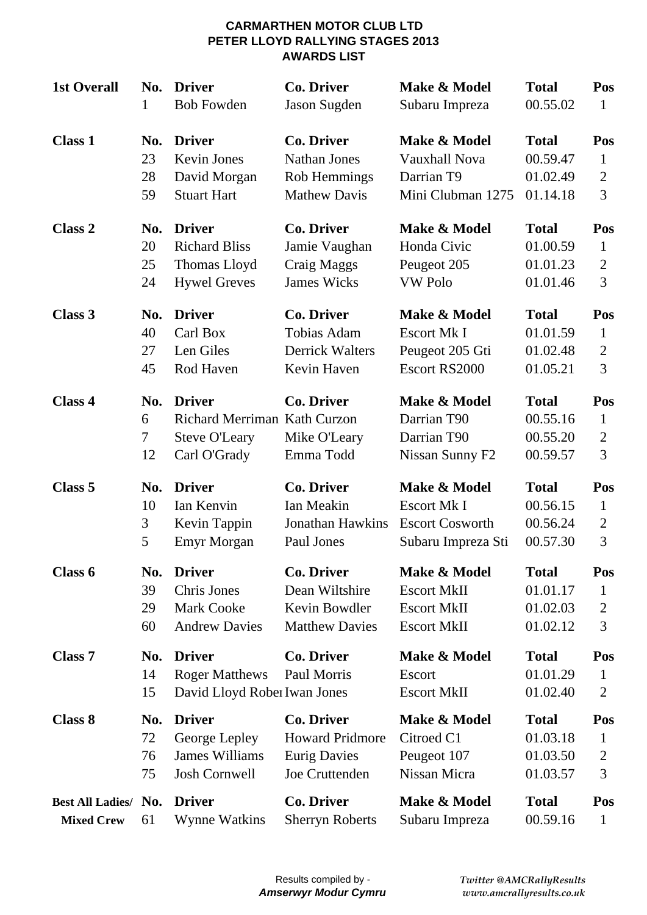#### **CARMARTHEN MOTOR CLUB LTD PETER LLOYD RALLYING STAGES 2013 AWARDS LIST**

| <b>1st Overall</b>   | No.                 | <b>Driver</b>                                                                         | <b>Co. Driver</b>                              | Make & Model                                                  | <b>Total</b>                                     | Pos                                   |
|----------------------|---------------------|---------------------------------------------------------------------------------------|------------------------------------------------|---------------------------------------------------------------|--------------------------------------------------|---------------------------------------|
|                      | 1                   | <b>Bob Fowden</b>                                                                     | Jason Sugden                                   | Subaru Impreza                                                | 00.55.02                                         | 1                                     |
| <b>Class 1</b>       | No.                 | <b>Driver</b>                                                                         | <b>Co. Driver</b>                              | Make & Model                                                  | <b>Total</b>                                     | Pos                                   |
|                      | 23                  | <b>Kevin Jones</b>                                                                    | <b>Nathan Jones</b>                            | <b>Vauxhall Nova</b>                                          | 00.59.47                                         | $\mathbf{1}$                          |
|                      | 28                  | David Morgan                                                                          | Rob Hemmings                                   | Darrian T9                                                    | 01.02.49                                         | $\overline{2}$                        |
|                      | 59                  | <b>Stuart Hart</b>                                                                    | <b>Mathew Davis</b>                            | Mini Clubman 1275                                             | 01.14.18                                         | 3                                     |
| <b>Class 2</b>       | No.                 | <b>Driver</b>                                                                         | <b>Co. Driver</b>                              | Make & Model                                                  | <b>Total</b>                                     | Pos                                   |
|                      | 20                  | <b>Richard Bliss</b>                                                                  | Jamie Vaughan                                  | Honda Civic                                                   | 01.00.59                                         | $\mathbf{1}$                          |
|                      | 25                  | Thomas Lloyd                                                                          | Craig Maggs                                    | Peugeot 205                                                   | 01.01.23                                         | 2                                     |
|                      | 24                  | <b>Hywel Greves</b>                                                                   | <b>James Wicks</b>                             | <b>VW Polo</b>                                                | 01.01.46                                         | 3                                     |
| Class 3              | No.                 | <b>Driver</b>                                                                         | <b>Co. Driver</b>                              | Make & Model                                                  | <b>Total</b>                                     | Pos                                   |
|                      | 40                  | Carl Box                                                                              | Tobias Adam                                    | Escort Mk I                                                   | 01.01.59                                         | $\mathbf{1}$                          |
|                      | 27                  | Len Giles                                                                             | <b>Derrick Walters</b>                         | Peugeot 205 Gti                                               | 01.02.48                                         | $\overline{2}$                        |
|                      | 45                  | Rod Haven                                                                             | Kevin Haven                                    | Escort RS2000                                                 | 01.05.21                                         | 3                                     |
| Class 4              | No.<br>6<br>7<br>12 | <b>Driver</b><br>Richard Merriman Kath Curzon<br><b>Steve O'Leary</b><br>Carl O'Grady | <b>Co. Driver</b><br>Mike O'Leary<br>Emma Todd | Make & Model<br>Darrian T90<br>Darrian T90<br>Nissan Sunny F2 | <b>Total</b><br>00.55.16<br>00.55.20<br>00.59.57 | Pos<br>$\mathbf{1}$<br>2<br>3         |
| Class 5              | No.                 | <b>Driver</b>                                                                         | <b>Co. Driver</b>                              | Make & Model                                                  | <b>Total</b>                                     | Pos                                   |
|                      | 10                  | Ian Kenvin                                                                            | Ian Meakin                                     | <b>Escort Mk I</b>                                            | 00.56.15                                         | $\mathbf{1}$                          |
|                      | 3                   | Kevin Tappin                                                                          | <b>Jonathan Hawkins</b>                        | <b>Escort Cosworth</b>                                        | 00.56.24                                         | $\overline{2}$                        |
|                      | 5                   | <b>Emyr Morgan</b>                                                                    | Paul Jones                                     | Subaru Impreza Sti                                            | 00.57.30                                         | 3                                     |
| Class 6              | No.                 | <b>Driver</b>                                                                         | <b>Co. Driver</b>                              | Make & Model                                                  | <b>Total</b>                                     | Pos                                   |
|                      | 39                  | Chris Jones                                                                           | Dean Wiltshire                                 | <b>Escort MkII</b>                                            | 01.01.17                                         | $\mathbf{1}$                          |
|                      | 29                  | <b>Mark Cooke</b>                                                                     | Kevin Bowdler                                  | <b>Escort MkII</b>                                            | 01.02.03                                         | 2                                     |
|                      | 60                  | <b>Andrew Davies</b>                                                                  | <b>Matthew Davies</b>                          | <b>Escort MkII</b>                                            | 01.02.12                                         | 3                                     |
| Class <sub>7</sub>   | No.<br>14<br>15     | <b>Driver</b><br><b>Roger Matthews</b><br>David Lloyd Rober Iwan Jones                | <b>Co. Driver</b><br>Paul Morris               | Make & Model<br>Escort<br><b>Escort MkII</b>                  | <b>Total</b><br>01.01.29<br>01.02.40             | Pos<br>$\mathbf{1}$<br>$\overline{2}$ |
| Class 8              | No.                 | <b>Driver</b>                                                                         | <b>Co. Driver</b>                              | Make & Model                                                  | <b>Total</b>                                     | Pos                                   |
|                      | 72                  | George Lepley                                                                         | <b>Howard Pridmore</b>                         | Citroed C1                                                    | 01.03.18                                         | $\mathbf{1}$                          |
|                      | 76                  | James Williams                                                                        | <b>Eurig Davies</b>                            | Peugeot 107                                                   | 01.03.50                                         | 2                                     |
|                      | 75                  | Josh Cornwell                                                                         | Joe Cruttenden                                 | Nissan Micra                                                  | 01.03.57                                         | 3                                     |
| Best All Ladies/ No. | 61                  | <b>Driver</b>                                                                         | <b>Co. Driver</b>                              | Make & Model                                                  | <b>Total</b>                                     | Pos                                   |
| <b>Mixed Crew</b>    |                     | Wynne Watkins                                                                         | <b>Sherryn Roberts</b>                         | Subaru Impreza                                                | 00.59.16                                         | $\mathbf{1}$                          |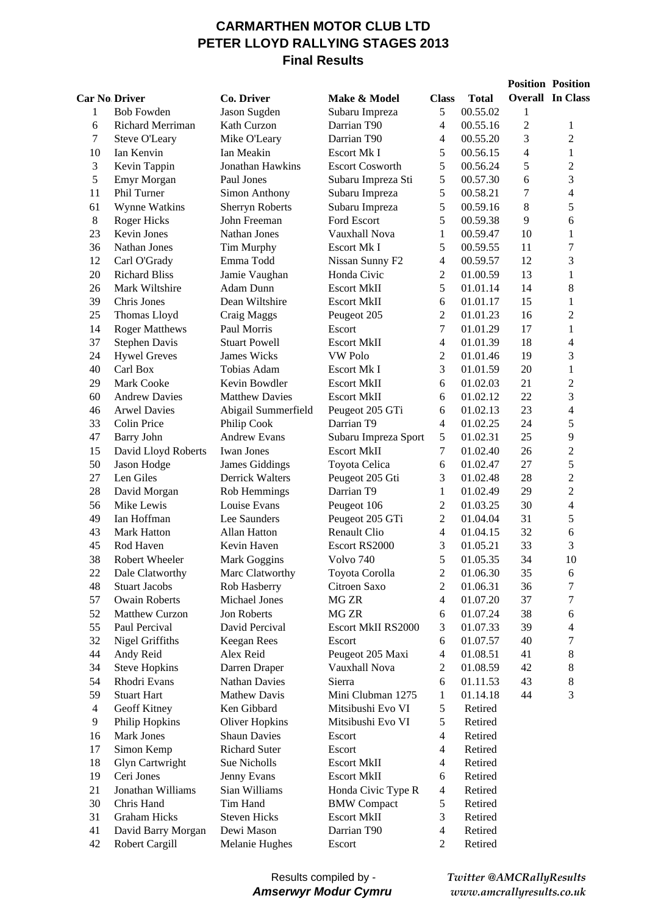### **CARMARTHEN MOTOR CLUB LTD PETER LLOYD RALLYING STAGES 2013 Final Results**

|    |                       |                        |                           |                |              |                | <b>Position Position</b> |
|----|-----------------------|------------------------|---------------------------|----------------|--------------|----------------|--------------------------|
|    | <b>Car No Driver</b>  | Co. Driver             | Make & Model              | <b>Class</b>   | <b>Total</b> |                | <b>Overall</b> In Class  |
| 1  | <b>Bob Fowden</b>     | Jason Sugden           | Subaru Impreza            | 5              | 00.55.02     | 1              |                          |
| 6  | Richard Merriman      | Kath Curzon            | Darrian T90               | $\overline{4}$ | 00.55.16     | $\overline{c}$ | 1                        |
| 7  | Steve O'Leary         | Mike O'Leary           | Darrian T90               | $\overline{4}$ | 00.55.20     | 3              | $\overline{c}$           |
| 10 | Ian Kenvin            | Ian Meakin             | Escort Mk I               | 5              | 00.56.15     | $\overline{4}$ | $\mathbf{1}$             |
| 3  | Kevin Tappin          | Jonathan Hawkins       | <b>Escort Cosworth</b>    | 5              | 00.56.24     | 5              | $\sqrt{2}$               |
| 5  | Emyr Morgan           | Paul Jones             | Subaru Impreza Sti        | 5              | 00.57.30     | 6              | 3                        |
| 11 | Phil Turner           | <b>Simon Anthony</b>   | Subaru Impreza            | 5              | 00.58.21     | 7              | $\overline{4}$           |
| 61 | Wynne Watkins         | Sherryn Roberts        | Subaru Impreza            | 5              | 00.59.16     | 8              | 5                        |
| 8  | <b>Roger Hicks</b>    | John Freeman           | Ford Escort               | 5              | 00.59.38     | 9              | 6                        |
| 23 | <b>Kevin Jones</b>    | Nathan Jones           | Vauxhall Nova             | 1              | 00.59.47     | 10             | $\mathbf{1}$             |
| 36 | Nathan Jones          | Tim Murphy             | <b>Escort Mk I</b>        | 5              | 00.59.55     | 11             | $\boldsymbol{7}$         |
| 12 | Carl O'Grady          | Emma Todd              | Nissan Sunny F2           | $\overline{4}$ | 00.59.57     | 12             | 3                        |
| 20 | <b>Richard Bliss</b>  | Jamie Vaughan          | Honda Civic               | $\sqrt{2}$     | 01.00.59     | 13             | $\mathbf{1}$             |
| 26 | Mark Wiltshire        | Adam Dunn              | <b>Escort MkII</b>        | 5              | 01.01.14     | 14             | 8                        |
| 39 | Chris Jones           | Dean Wiltshire         | <b>Escort MkII</b>        | 6              | 01.01.17     | 15             | $\mathbf{1}$             |
| 25 | Thomas Lloyd          | Craig Maggs            | Peugeot 205               | $\overline{2}$ | 01.01.23     | 16             | $\overline{2}$           |
| 14 | <b>Roger Matthews</b> | Paul Morris            | Escort                    | $\tau$         | 01.01.29     | 17             | $\mathbf{1}$             |
| 37 | <b>Stephen Davis</b>  | <b>Stuart Powell</b>   | <b>Escort MkII</b>        | 4              | 01.01.39     | 18             | $\overline{\mathcal{L}}$ |
| 24 | <b>Hywel Greves</b>   | James Wicks            | <b>VW Polo</b>            | $\mathfrak{2}$ | 01.01.46     | 19             | 3                        |
| 40 | Carl Box              | Tobias Adam            | Escort Mk I               | 3              | 01.01.59     | 20             | $\mathbf{1}$             |
| 29 | Mark Cooke            | Kevin Bowdler          | <b>Escort MkII</b>        | 6              | 01.02.03     | 21             | $\overline{c}$           |
| 60 | <b>Andrew Davies</b>  | <b>Matthew Davies</b>  | <b>Escort MkII</b>        | 6              | 01.02.12     | 22             | 3                        |
| 46 | <b>Arwel Davies</b>   | Abigail Summerfield    | Peugeot 205 GTi           | 6              | 01.02.13     | 23             | $\overline{\mathcal{L}}$ |
| 33 | Colin Price           | Philip Cook            | Darrian T9                | $\overline{4}$ | 01.02.25     | 24             | 5                        |
| 47 | <b>Barry John</b>     | <b>Andrew Evans</b>    | Subaru Impreza Sport      | 5              | 01.02.31     | 25             | 9                        |
| 15 | David Lloyd Roberts   | <b>Iwan Jones</b>      | <b>Escort MkII</b>        | $\tau$         | 01.02.40     | 26             | $\sqrt{2}$               |
| 50 | Jason Hodge           | <b>James Giddings</b>  | Toyota Celica             | 6              | 01.02.47     | 27             | 5                        |
| 27 | Len Giles             | <b>Derrick Walters</b> | Peugeot 205 Gti           | 3              | 01.02.48     | 28             | $\overline{2}$           |
| 28 | David Morgan          | Rob Hemmings           | Darrian T9                | 1              | 01.02.49     | 29             | $\overline{2}$           |
| 56 | Mike Lewis            | Louise Evans           | Peugeot 106               | $\overline{2}$ | 01.03.25     | 30             | $\overline{4}$           |
| 49 | Ian Hoffman           | Lee Saunders           | Peugeot 205 GTi           | $\overline{2}$ | 01.04.04     | 31             | 5                        |
| 43 | <b>Mark Hatton</b>    | Allan Hatton           | Renault Clio              | 4              | 01.04.15     | 32             | 6                        |
| 45 | Rod Haven             | Kevin Haven            | Escort RS2000             | 3              | 01.05.21     | 33             | 3                        |
| 38 | Robert Wheeler        | Mark Goggins           | Volvo 740                 | 5              | 01.05.35     | 34             | 10                       |
| 22 | Dale Clatworthy       | Marc Clatworthy        | Toyota Corolla            | $\overline{c}$ | 01.06.30     | 35             | 6                        |
| 48 | <b>Stuart Jacobs</b>  | Rob Hasberry           | Citroen Saxo              | 2              | 01.06.31     | 36             | 7                        |
| 57 | <b>Owain Roberts</b>  | Michael Jones          | MG ZR                     | $\overline{4}$ | 01.07.20     | 37             | $\tau$                   |
| 52 | Matthew Curzon        | Jon Roberts            | MG ZR                     | 6              | 01.07.24     | 38             | 6                        |
| 55 | Paul Percival         | David Percival         | <b>Escort MkII RS2000</b> | 3              | 01.07.33     | 39             | $\overline{4}$           |
| 32 | Nigel Griffiths       | <b>Keegan Rees</b>     | Escort                    | 6              | 01.07.57     | 40             | 7                        |
| 44 | Andy Reid             | Alex Reid              | Peugeot 205 Maxi          | $\overline{4}$ | 01.08.51     | 41             | $8\,$                    |
| 34 | <b>Steve Hopkins</b>  | Darren Draper          | Vauxhall Nova             | 2              | 01.08.59     | 42             | $8\,$                    |
| 54 | Rhodri Evans          | <b>Nathan Davies</b>   | Sierra                    | 6              | 01.11.53     | 43             | $\,8\,$                  |
| 59 | <b>Stuart Hart</b>    | <b>Mathew Davis</b>    | Mini Clubman 1275         | $\mathbf{1}$   | 01.14.18     | 44             | 3                        |
| 4  | Geoff Kitney          | Ken Gibbard            | Mitsibushi Evo VI         | 5              | Retired      |                |                          |
| 9  | Philip Hopkins        | Oliver Hopkins         | Mitsibushi Evo VI         | 5              | Retired      |                |                          |
| 16 | <b>Mark Jones</b>     | <b>Shaun Davies</b>    | Escort                    | 4              | Retired      |                |                          |
| 17 | Simon Kemp            | <b>Richard Suter</b>   | Escort                    | 4              | Retired      |                |                          |
| 18 | Glyn Cartwright       | Sue Nicholls           | <b>Escort MkII</b>        | 4              | Retired      |                |                          |
| 19 | Ceri Jones            | Jenny Evans            | <b>Escort MkII</b>        | 6              | Retired      |                |                          |
| 21 | Jonathan Williams     | Sian Williams          | Honda Civic Type R        | 4              | Retired      |                |                          |
| 30 | Chris Hand            | Tim Hand               | <b>BMW</b> Compact        | 5              | Retired      |                |                          |
| 31 | <b>Graham Hicks</b>   | <b>Steven Hicks</b>    | <b>Escort MkII</b>        | 3              | Retired      |                |                          |
| 41 | David Barry Morgan    | Dewi Mason             | Darrian T90               | 4              | Retired      |                |                          |
| 42 | <b>Robert Cargill</b> | Melanie Hughes         | Escort                    | $\overline{c}$ | Retired      |                |                          |

#### Results compiled by - *Amserwyr Modur Cymru*

*Twitter @AMCRallyResults www.amcrallyresults.co.uk*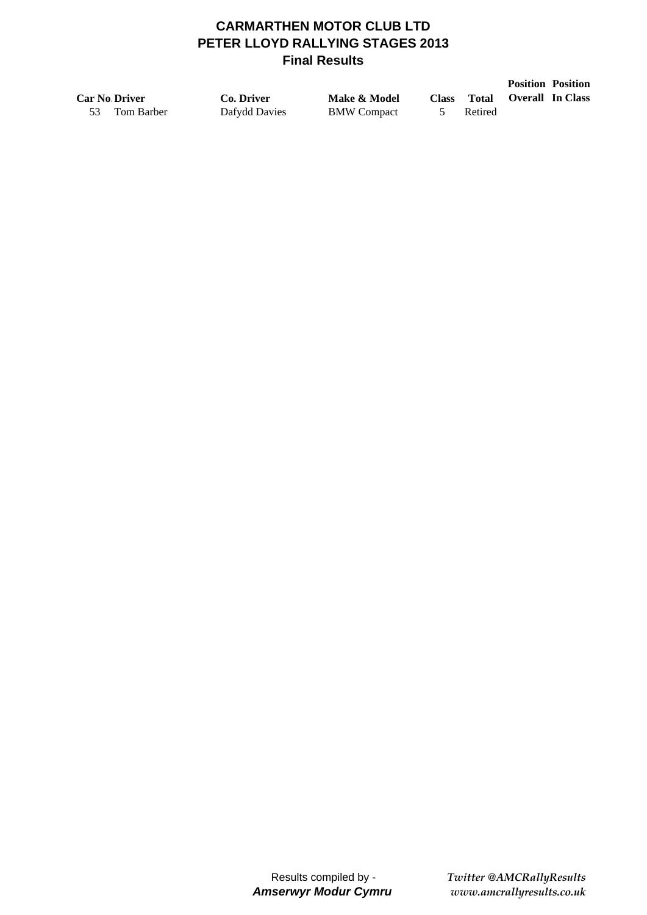# **CARMARTHEN MOTOR CLUB LTD PETER LLOYD RALLYING STAGES 2013 Final Results**

|    |                      |               |                    |              |         |                         | <b>Position Position</b> |
|----|----------------------|---------------|--------------------|--------------|---------|-------------------------|--------------------------|
|    | <b>Car No Driver</b> | Co. Driver    | Make & Model       | <b>Class</b> | Total   | <b>Overall In Class</b> |                          |
| 53 | Tom Barber           | Dafydd Davies | <b>BMW</b> Compact |              | Retired |                         |                          |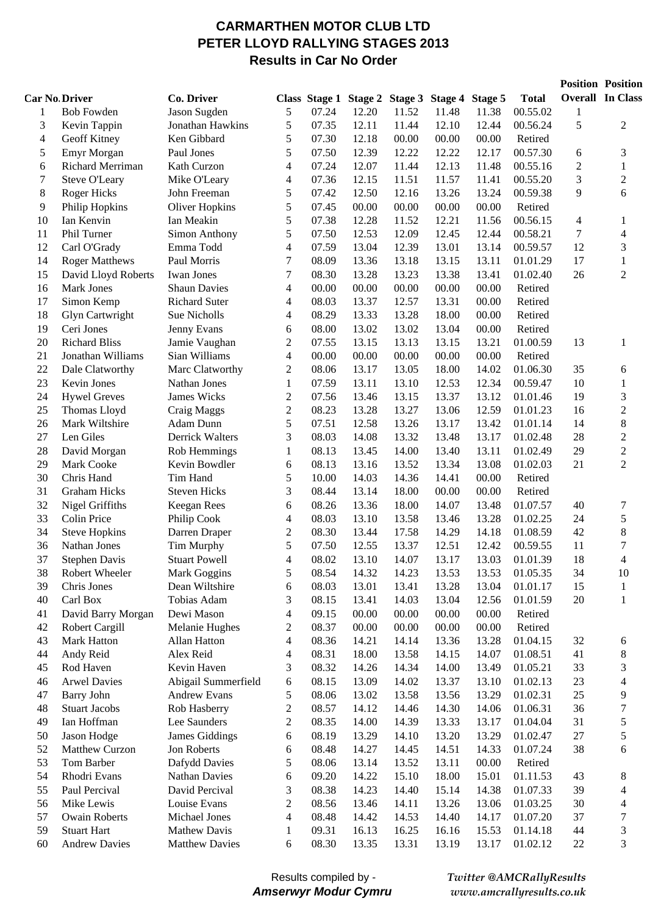# **CARMARTHEN MOTOR CLUB LTD PETER LLOYD RALLYING STAGES 2013 Results in Car No Order**

|                |                       |                       |                          |       |                                               |       |       |       |              |        | <b>Position Position</b> |
|----------------|-----------------------|-----------------------|--------------------------|-------|-----------------------------------------------|-------|-------|-------|--------------|--------|--------------------------|
|                | <b>Car No Driver</b>  | Co. Driver            |                          |       | Class Stage 1 Stage 2 Stage 3 Stage 4 Stage 5 |       |       |       | <b>Total</b> |        | <b>Overall In Class</b>  |
| 1              | <b>Bob Fowden</b>     | Jason Sugden          | 5                        | 07.24 | 12.20                                         | 11.52 | 11.48 | 11.38 | 00.55.02     | 1      |                          |
| 3              | Kevin Tappin          | Jonathan Hawkins      | 5                        | 07.35 | 12.11                                         | 11.44 | 12.10 | 12.44 | 00.56.24     | 5      | $\overline{2}$           |
| $\overline{4}$ | Geoff Kitney          | Ken Gibbard           | 5                        | 07.30 | 12.18                                         | 00.00 | 00.00 | 00.00 | Retired      |        |                          |
| 5              | Emyr Morgan           | Paul Jones            | 5                        | 07.50 | 12.39                                         | 12.22 | 12.22 | 12.17 | 00.57.30     | 6      | 3                        |
| 6              | Richard Merriman      | Kath Curzon           | 4                        | 07.24 | 12.07                                         | 11.44 | 12.13 | 11.48 | 00.55.16     | 2      | 1                        |
| 7              | Steve O'Leary         | Mike O'Leary          | 4                        | 07.36 | 12.15                                         | 11.51 | 11.57 | 11.41 | 00.55.20     | 3      | $\mathfrak{2}$           |
| $8\,$          | <b>Roger Hicks</b>    | John Freeman          | 5                        | 07.42 | 12.50                                         | 12.16 | 13.26 | 13.24 | 00.59.38     | 9      | 6                        |
| 9              | Philip Hopkins        | <b>Oliver Hopkins</b> | 5                        | 07.45 | 00.00                                         | 00.00 | 00.00 | 00.00 | Retired      |        |                          |
| 10             | Ian Kenvin            | Ian Meakin            | 5                        | 07.38 | 12.28                                         | 11.52 | 12.21 | 11.56 | 00.56.15     | 4      | 1                        |
| 11             | Phil Turner           | Simon Anthony         | 5                        | 07.50 | 12.53                                         | 12.09 | 12.45 | 12.44 | 00.58.21     | 7      | 4                        |
| 12             | Carl O'Grady          | Emma Todd             | $\overline{\mathcal{A}}$ | 07.59 | 13.04                                         | 12.39 | 13.01 | 13.14 | 00.59.57     | 12     | 3                        |
| 14             | <b>Roger Matthews</b> | Paul Morris           | 7                        | 08.09 | 13.36                                         | 13.18 | 13.15 | 13.11 | 01.01.29     | 17     | $\mathbf{1}$             |
| 15             | David Lloyd Roberts   | Iwan Jones            | 7                        | 08.30 | 13.28                                         | 13.23 | 13.38 | 13.41 | 01.02.40     | 26     | $\overline{c}$           |
| 16             | Mark Jones            | <b>Shaun Davies</b>   | 4                        | 00.00 | 00.00                                         | 00.00 | 00.00 | 00.00 | Retired      |        |                          |
| 17             | Simon Kemp            | <b>Richard Suter</b>  | 4                        | 08.03 | 13.37                                         | 12.57 | 13.31 | 00.00 | Retired      |        |                          |
| 18             | Glyn Cartwright       | Sue Nicholls          | 4                        | 08.29 | 13.33                                         | 13.28 | 18.00 | 00.00 | Retired      |        |                          |
| 19             | Ceri Jones            | Jenny Evans           | 6                        | 08.00 | 13.02                                         | 13.02 | 13.04 | 00.00 | Retired      |        |                          |
| 20             | <b>Richard Bliss</b>  | Jamie Vaughan         | $\overline{2}$           | 07.55 | 13.15                                         | 13.13 | 13.15 | 13.21 | 01.00.59     | 13     | 1                        |
| 21             | Jonathan Williams     | Sian Williams         | 4                        | 00.00 | 00.00                                         | 00.00 | 00.00 | 00.00 | Retired      |        |                          |
| 22             | Dale Clatworthy       | Marc Clatworthy       | 2                        | 08.06 | 13.17                                         | 13.05 | 18.00 | 14.02 | 01.06.30     | 35     | 6                        |
| 23             | Kevin Jones           | Nathan Jones          | $\mathbf{1}$             | 07.59 | 13.11                                         | 13.10 | 12.53 | 12.34 | 00.59.47     | 10     | 1                        |
| 24             | <b>Hywel Greves</b>   | James Wicks           | $\mathbf{2}$             | 07.56 | 13.46                                         | 13.15 | 13.37 | 13.12 | 01.01.46     | 19     | 3                        |
| 25             | Thomas Lloyd          | Craig Maggs           | $\boldsymbol{2}$         | 08.23 | 13.28                                         | 13.27 | 13.06 | 12.59 | 01.01.23     | 16     | $\boldsymbol{2}$         |
| 26             | Mark Wiltshire        | Adam Dunn             | 5                        | 07.51 | 12.58                                         | 13.26 | 13.17 | 13.42 | 01.01.14     | 14     | $8\,$                    |
| 27             | Len Giles             | Derrick Walters       | 3                        | 08.03 | 14.08                                         | 13.32 | 13.48 | 13.17 | 01.02.48     | 28     | $\boldsymbol{2}$         |
| 28             | David Morgan          | Rob Hemmings          | 1                        | 08.13 | 13.45                                         | 14.00 | 13.40 | 13.11 | 01.02.49     | 29     | $\overline{c}$           |
| 29             | Mark Cooke            | Kevin Bowdler         | 6                        | 08.13 | 13.16                                         | 13.52 | 13.34 | 13.08 | 01.02.03     | 21     | $\overline{2}$           |
| 30             | Chris Hand            | Tim Hand              | 5                        | 10.00 | 14.03                                         | 14.36 | 14.41 | 00.00 | Retired      |        |                          |
| 31             | <b>Graham Hicks</b>   | <b>Steven Hicks</b>   | 3                        | 08.44 | 13.14                                         | 18.00 | 00.00 | 00.00 | Retired      |        |                          |
| 32             | Nigel Griffiths       | Keegan Rees           | 6                        | 08.26 | 13.36                                         | 18.00 | 14.07 | 13.48 | 01.07.57     | 40     | 7                        |
| 33             | Colin Price           | Philip Cook           | 4                        | 08.03 | 13.10                                         | 13.58 | 13.46 | 13.28 | 01.02.25     | 24     | 5                        |
| 34             | <b>Steve Hopkins</b>  | Darren Draper         | $\overline{c}$           | 08.30 | 13.44                                         | 17.58 | 14.29 | 14.18 | 01.08.59     | 42     | 8                        |
| 36             | Nathan Jones          | Tim Murphy            | 5                        | 07.50 | 12.55                                         | 13.37 | 12.51 | 12.42 | 00.59.55     | 11     | 7                        |
| 37             | <b>Stephen Davis</b>  | <b>Stuart Powell</b>  | 4                        | 08.02 | 13.10                                         | 14.07 | 13.17 | 13.03 | 01.01.39     | 18     | 4                        |
| 38             | Robert Wheeler        | Mark Goggins          | 5                        | 08.54 | 14.32                                         | 14.23 | 13.53 | 13.53 | 01.05.35     | 34     | 10                       |
| 39             | Chris Jones           | Dean Wiltshire        | 6                        | 08.03 | 13.01                                         | 13.41 | 13.28 | 13.04 | 01.01.17     | 15     | $\mathbf{1}$             |
| 40             | Carl Box              | Tobias Adam           | 3                        | 08.15 | 13.41                                         | 14.03 | 13.04 | 12.56 | 01.01.59     | $20\,$ | $\,1$                    |
| 41             | David Barry Morgan    | Dewi Mason            | $\overline{\mathcal{A}}$ | 09.15 | 00.00                                         | 00.00 | 00.00 | 00.00 | Retired      |        |                          |
| 42             | Robert Cargill        | Melanie Hughes        | 2                        | 08.37 | 00.00                                         | 00.00 | 00.00 | 00.00 | Retired      |        |                          |
| 43             | Mark Hatton           | Allan Hatton          | $\overline{\mathcal{A}}$ | 08.36 | 14.21                                         | 14.14 | 13.36 | 13.28 | 01.04.15     | 32     | 6                        |
| 44             | Andy Reid             | Alex Reid             | 4                        | 08.31 | 18.00                                         | 13.58 | 14.15 | 14.07 | 01.08.51     | 41     | 8                        |
| 45             | Rod Haven             | Kevin Haven           | 3                        | 08.32 | 14.26                                         | 14.34 | 14.00 | 13.49 | 01.05.21     | 33     | 3                        |
| 46             | <b>Arwel Davies</b>   | Abigail Summerfield   | 6                        | 08.15 | 13.09                                         | 14.02 | 13.37 | 13.10 | 01.02.13     | 23     | $\overline{\mathcal{L}}$ |
| 47             | <b>Barry John</b>     | Andrew Evans          | 5                        | 08.06 | 13.02                                         | 13.58 | 13.56 | 13.29 | 01.02.31     | 25     | 9                        |
| 48             | <b>Stuart Jacobs</b>  | Rob Hasberry          | $\boldsymbol{2}$         | 08.57 | 14.12                                         | 14.46 | 14.30 | 14.06 | 01.06.31     | 36     | $\tau$                   |
| 49             | Ian Hoffman           | Lee Saunders          | $\overline{c}$           | 08.35 | 14.00                                         | 14.39 | 13.33 | 13.17 | 01.04.04     | 31     | 5                        |
| 50             | Jason Hodge           | James Giddings        | 6                        | 08.19 | 13.29                                         | 14.10 | 13.20 | 13.29 | 01.02.47     | 27     | 5                        |
| 52             | Matthew Curzon        | Jon Roberts           | 6                        | 08.48 | 14.27                                         | 14.45 | 14.51 | 14.33 | 01.07.24     | 38     | 6                        |
| 53             | Tom Barber            | Dafydd Davies         | 5                        | 08.06 | 13.14                                         | 13.52 | 13.11 | 00.00 | Retired      |        |                          |
| 54             | Rhodri Evans          | Nathan Davies         | 6                        | 09.20 | 14.22                                         | 15.10 | 18.00 | 15.01 | 01.11.53     | 43     | 8                        |
| 55             | Paul Percival         | David Percival        | 3                        | 08.38 | 14.23                                         | 14.40 | 15.14 | 14.38 | 01.07.33     | 39     | 4                        |
| 56             | Mike Lewis            | Louise Evans          | $\boldsymbol{2}$         | 08.56 | 13.46                                         | 14.11 | 13.26 | 13.06 | 01.03.25     | 30     | 4                        |
| 57             | <b>Owain Roberts</b>  | Michael Jones         | 4                        | 08.48 | 14.42                                         | 14.53 | 14.40 | 14.17 | 01.07.20     | 37     | $\tau$                   |
| 59             | <b>Stuart Hart</b>    | Mathew Davis          | $\mathbf{1}$             | 09.31 | 16.13                                         | 16.25 | 16.16 | 15.53 | 01.14.18     | 44     | 3                        |
| 60             | <b>Andrew Davies</b>  | <b>Matthew Davies</b> | 6                        | 08.30 | 13.35                                         | 13.31 | 13.19 | 13.17 | 01.02.12     | 22     | 3                        |

Results compiled by - *Amserwyr Modur Cymru* *Twitter @AMCRallyResults www.amcrallyresults.co.uk*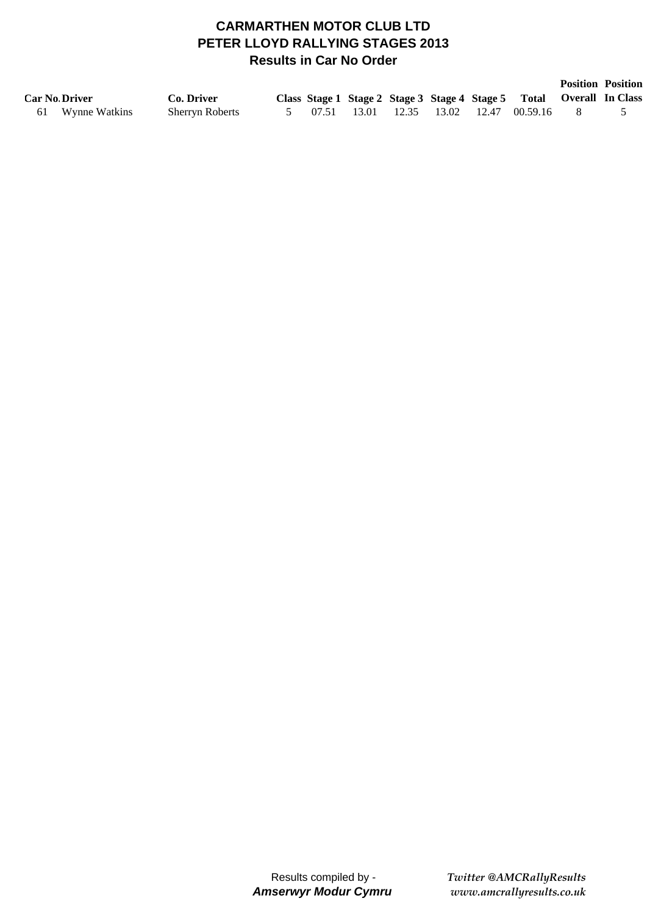# **CARMARTHEN MOTOR CLUB LTD PETER LLOYD RALLYING STAGES 2013 Results in Car No Order**

|                      |                        |  |  |  |                                                                      | <b>Position Position</b> |
|----------------------|------------------------|--|--|--|----------------------------------------------------------------------|--------------------------|
| <b>Car No Driver</b> | Co. Driver             |  |  |  | Class Stage 1 Stage 2 Stage 3 Stage 4 Stage 5 Total Overall In Class |                          |
| 61 Wynne Watkins     | <b>Sherryn Roberts</b> |  |  |  | 5 07.51 13.01 12.35 13.02 12.47 00.59.16                             |                          |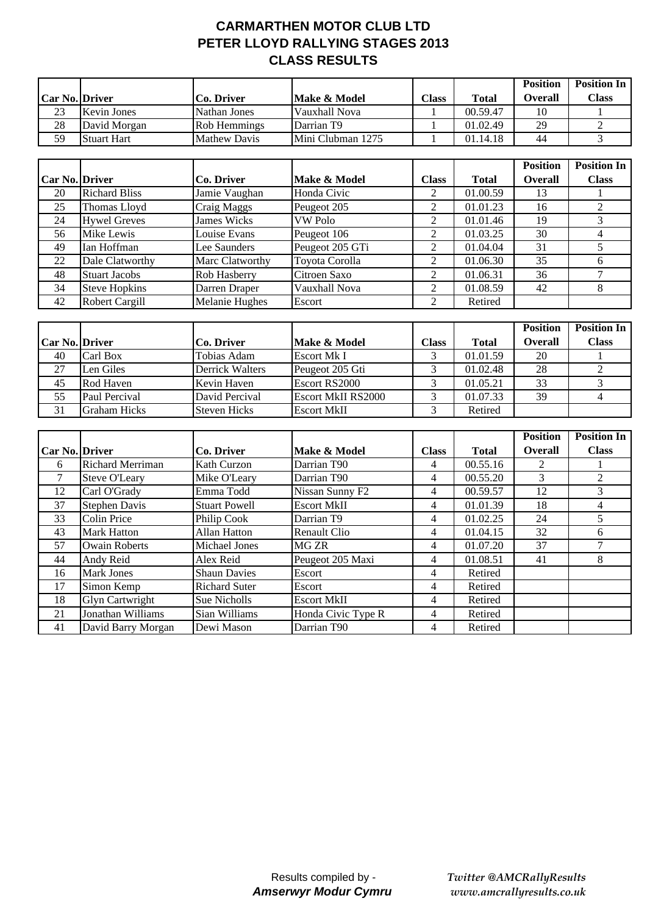## **CARMARTHEN MOTOR CLUB LTD PETER LLOYD RALLYING STAGES 2013 CLASS RESULTS**

|                  |                    |                     |                         |                                                |              | <b>Position</b> | <b>Position In</b> |
|------------------|--------------------|---------------------|-------------------------|------------------------------------------------|--------------|-----------------|--------------------|
| Car No.   Driver |                    | Co. Driver          | <b>Make &amp; Model</b> | $\textcolor{red}{\boldsymbol{\mathsf{Class}}}$ | <b>Total</b> | Overall         | Class              |
| 23               | <b>Kevin Jones</b> | Nathan Jones        | Vauxhall Nova           |                                                | 00.59.47     | 10              |                    |
| 28               | David Morgan       | Rob Hemmings        | Darrian T <sub>9</sub>  |                                                | 01.02.49     | 29              |                    |
| 59               | <b>Stuart Hart</b> | <b>Mathew Davis</b> | Mini Clubman 1275       |                                                | 01.14.18     | 44              |                    |

|                |                       |                       |                 |              |              | <b>Position</b> | <b>Position In</b> |
|----------------|-----------------------|-----------------------|-----------------|--------------|--------------|-----------------|--------------------|
| Car No. Driver |                       | Co. Driver            | Make & Model    | <b>Class</b> | <b>Total</b> | <b>Overall</b>  | <b>Class</b>       |
| 20             | <b>Richard Bliss</b>  | Jamie Vaughan         | Honda Civic     | 2            | 01.00.59     | 13              |                    |
| 25             | Thomas Lloyd          | Craig Maggs           | Peugeot 205     | 2            | 01.01.23     | 16              |                    |
| 24             | <b>Hywel Greves</b>   | <b>James Wicks</b>    | VW Polo         | 2            | 01.01.46     | 19              |                    |
| 56             | Mike Lewis            | Louise Evans          | Peugeot 106     | 2            | 01.03.25     | 30              |                    |
| 49             | Ian Hoffman           | Lee Saunders          | Peugeot 205 GTi | 2            | 01.04.04     | 31              |                    |
| 22             | Dale Clatworthy       | Marc Clatworthy       | Toyota Corolla  | 2            | 01.06.30     | 35              |                    |
| 48             | <b>Stuart Jacobs</b>  | Rob Hasberry          | Citroen Saxo    | 2            | 01.06.31     | 36              |                    |
| 34             | <b>Steve Hopkins</b>  | Darren Draper         | Vauxhall Nova   | 2            | 01.08.59     | 42              |                    |
| 42             | <b>Robert Cargill</b> | <b>Melanie Hughes</b> | Escort          | 2            | Retired      |                 |                    |

|                       |                     |                     |                           |       |          | <b>Position</b> | <b>Position In</b> |
|-----------------------|---------------------|---------------------|---------------------------|-------|----------|-----------------|--------------------|
| <b>Car No. Driver</b> |                     | Co. Driver          | Make & Model              | Class | Total    | <b>Overall</b>  | <b>Class</b>       |
| 40                    | Carl Box            | Tobias Adam         | Escort Mk I               |       | 01.01.59 | 20              |                    |
| 27                    | Len Giles           | Derrick Walters     | Peugeot 205 Gti           |       | 01.02.48 | 28              |                    |
| 45                    | Rod Haven           | Kevin Haven         | Escort RS2000             |       | 01.05.21 | 33              |                    |
| 55                    | Paul Percival       | David Percival      | <b>Escort MkII RS2000</b> |       | 01.07.33 | 39              |                    |
| 31                    | <b>Graham Hicks</b> | <b>Steven Hicks</b> | <b>Escort MkII</b>        |       | Retired  |                 |                    |

|                       |                         |                      |                    |              |              | <b>Position</b> | <b>Position In</b> |
|-----------------------|-------------------------|----------------------|--------------------|--------------|--------------|-----------------|--------------------|
| <b>Car No. Driver</b> |                         | Co. Driver           | Make & Model       | <b>Class</b> | <b>Total</b> | <b>Overall</b>  | <b>Class</b>       |
| 6                     | <b>Richard Merriman</b> | <b>Kath Curzon</b>   | Darrian T90        | 4            | 00.55.16     | 2               |                    |
|                       | <b>Steve O'Leary</b>    | Mike O'Leary         | Darrian T90        | 4            | 00.55.20     | 3               | 2                  |
| 12                    | Carl O'Grady            | Emma Todd            | Nissan Sunny F2    | 4            | 00.59.57     | 12              | 3                  |
| 37                    | <b>Stephen Davis</b>    | <b>Stuart Powell</b> | <b>Escort MkII</b> | 4            | 01.01.39     | 18              | 4                  |
| 33                    | Colin Price             | Philip Cook          | Darrian T9         | 4            | 01.02.25     | 24              |                    |
| 43                    | <b>Mark Hatton</b>      | Allan Hatton         | Renault Clio       | 4            | 01.04.15     | 32              | 6                  |
| 57                    | <b>Owain Roberts</b>    | Michael Jones        | MG ZR              | 4            | 01.07.20     | 37              |                    |
| 44                    | Andy Reid               | Alex Reid            | Peugeot 205 Maxi   | 4            | 01.08.51     | 41              | 8                  |
| 16                    | Mark Jones              | <b>Shaun Davies</b>  | Escort             | 4            | Retired      |                 |                    |
| 17                    | Simon Kemp              | <b>Richard Suter</b> | Escort             | 4            | Retired      |                 |                    |
| 18                    | <b>Glyn Cartwright</b>  | Sue Nicholls         | <b>Escort MkII</b> | 4            | Retired      |                 |                    |
| 21                    | Jonathan Williams       | Sian Williams        | Honda Civic Type R | 4            | Retired      |                 |                    |
| 41                    | David Barry Morgan      | Dewi Mason           | Darrian T90        | 4            | Retired      |                 |                    |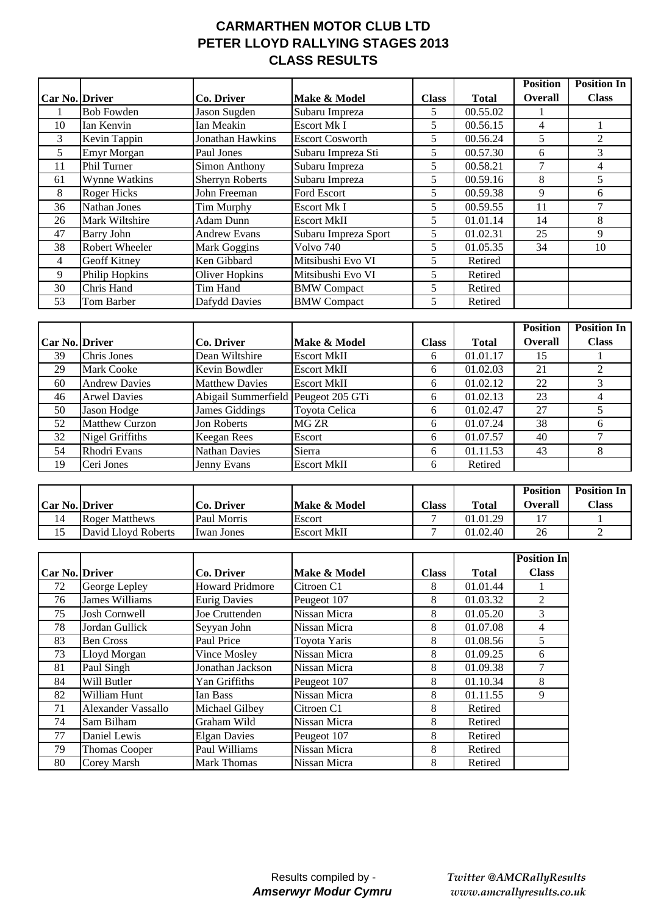# **CARMARTHEN MOTOR CLUB LTD PETER LLOYD RALLYING STAGES 2013 CLASS RESULTS**

|                       |                   |                        |                        |              |              | <b>Position</b> | <b>Position In</b> |
|-----------------------|-------------------|------------------------|------------------------|--------------|--------------|-----------------|--------------------|
| <b>Car No. Driver</b> |                   | Co. Driver             | Make & Model           | <b>Class</b> | <b>Total</b> | <b>Overall</b>  | <b>Class</b>       |
|                       | <b>Bob Fowden</b> | Jason Sugden           | Subaru Impreza         | 5            | 00.55.02     |                 |                    |
| 10                    | Ian Kenvin        | Ian Meakin             | <b>Escort Mk I</b>     | 5            | 00.56.15     | 4               |                    |
| 3                     | Kevin Tappin      | Jonathan Hawkins       | <b>Escort Cosworth</b> | 5.           | 00.56.24     | 5               | 2                  |
| 5                     | Emyr Morgan       | Paul Jones             | Subaru Impreza Sti     | 5            | 00.57.30     | 6               | 3                  |
| 11                    | Phil Turner       | Simon Anthony          | Subaru Impreza         | 5.           | 00.58.21     | 7               | 4                  |
| 61                    | Wynne Watkins     | <b>Sherryn Roberts</b> | Subaru Impreza         | 5            | 00.59.16     | 8               | 5.                 |
| 8                     | Roger Hicks       | John Freeman           | Ford Escort            | 5            | 00.59.38     | 9               | 6                  |
| 36                    | Nathan Jones      | Tim Murphy             | <b>Escort Mk I</b>     | 5.           | 00.59.55     | 11              |                    |
| 26                    | Mark Wiltshire    | Adam Dunn              | <b>Escort MkII</b>     | 5            | 01.01.14     | 14              | 8                  |
| 47                    | Barry John        | <b>Andrew Evans</b>    | Subaru Impreza Sport   | 5            | 01.02.31     | 25              | 9                  |
| 38                    | Robert Wheeler    | Mark Goggins           | Volvo 740              | 5            | 01.05.35     | 34              | 10                 |
| 4                     | Geoff Kitney      | Ken Gibbard            | Mitsibushi Evo VI      | 5.           | Retired      |                 |                    |
| 9                     | Philip Hopkins    | <b>Oliver Hopkins</b>  | Mitsibushi Evo VI      | 5            | Retired      |                 |                    |
| 30                    | Chris Hand        | Tim Hand               | <b>BMW</b> Compact     | 5            | Retired      |                 |                    |
| 53                    | Tom Barber        | Dafydd Davies          | <b>BMW</b> Compact     | 5            | Retired      |                 |                    |

|                       |                       |                                     |                    |              |              | <b>Position</b> | <b>Position In</b> |
|-----------------------|-----------------------|-------------------------------------|--------------------|--------------|--------------|-----------------|--------------------|
| <b>Car No. Driver</b> |                       | Co. Driver                          | Make & Model       | <b>Class</b> | <b>Total</b> | <b>Overall</b>  | <b>Class</b>       |
| 39                    | Chris Jones           | Dean Wiltshire                      | <b>Escort MkII</b> | 6            | 01.01.17     | 15              |                    |
| 29                    | <b>Mark Cooke</b>     | Kevin Bowdler                       | <b>Escort MkII</b> | 6            | 01.02.03     | 21              |                    |
| 60                    | <b>Andrew Davies</b>  | <b>Matthew Davies</b>               | <b>Escort MkII</b> | 6            | 01.02.12     | 22              |                    |
| 46                    | <b>Arwel Davies</b>   | Abigail Summerfield Peugeot 205 GTi |                    | 6            | 01.02.13     | 23              |                    |
| 50                    | Jason Hodge           | James Giddings                      | Toyota Celica      | 6            | 01.02.47     | 27              |                    |
| 52                    | <b>Matthew Curzon</b> | Jon Roberts                         | MG ZR              | 6            | 01.07.24     | 38              |                    |
| 32                    | Nigel Griffiths       | <b>Keegan Rees</b>                  | Escort             | 6            | 01.07.57     | 40              |                    |
| 54                    | Rhodri Evans          | <b>Nathan Davies</b>                | Sierra             | 6            | 01.11.53     | 43              | 8                  |
| 19                    | Ceri Jones            | Jenny Evans                         | <b>Escort MkII</b> | 6            | Retired      |                 |                    |

|                       |                       |                   |                    |       |          | <b>Position</b> | <b>Position In</b> |
|-----------------------|-----------------------|-------------------|--------------------|-------|----------|-----------------|--------------------|
| <b>Car No. Driver</b> |                       | <b>Co. Driver</b> | Make & Model       | Class | Total    | <b>Overall</b>  | Class              |
| 14                    | <b>Roger Matthews</b> | Paul Morris       | Escort             |       | 01.01.29 |                 |                    |
| IJ                    | David Lloyd Roberts   | I Iwan Jones      | <b>Escort MkII</b> |       | 01.02.40 | 26              |                    |

|                |                       |                        |              |              |              | <b>Position In</b> |
|----------------|-----------------------|------------------------|--------------|--------------|--------------|--------------------|
| Car No. Driver |                       | Co. Driver             | Make & Model | <b>Class</b> | <b>Total</b> | <b>Class</b>       |
| 72             | George Lepley         | <b>Howard Pridmore</b> | Citroen C1   | 8            | 01.01.44     |                    |
| 76             | <b>James Williams</b> | <b>Eurig Davies</b>    | Peugeot 107  | 8            | 01.03.32     | $\mathfrak{D}$     |
| 75             | Josh Cornwell         | Joe Cruttenden         | Nissan Micra | 8            | 01.05.20     | 3                  |
| 78             | Jordan Gullick        | Seyyan John            | Nissan Micra | 8            | 01.07.08     | 4                  |
| 83             | <b>Ben Cross</b>      | Paul Price             | Toyota Yaris | 8            | 01.08.56     | 5                  |
| 73             | Lloyd Morgan          | Vince Mosley           | Nissan Micra | 8            | 01.09.25     | 6                  |
| 81             | Paul Singh            | Jonathan Jackson       | Nissan Micra | 8            | 01.09.38     |                    |
| 84             | Will Butler           | Yan Griffiths          | Peugeot 107  | 8            | 01.10.34     | 8                  |
| 82             | William Hunt          | Ian Bass               | Nissan Micra | 8            | 01.11.55     | 9                  |
| 71             | Alexander Vassallo    | Michael Gilbey         | Citroen C1   | 8            | Retired      |                    |
| 74             | Sam Bilham            | Graham Wild            | Nissan Micra | 8            | Retired      |                    |
| 77             | Daniel Lewis          | <b>Elgan Davies</b>    | Peugeot 107  | 8            | Retired      |                    |
| 79             | <b>Thomas Cooper</b>  | Paul Williams          | Nissan Micra | 8            | Retired      |                    |
| 80             | Corey Marsh           | <b>Mark Thomas</b>     | Nissan Micra | 8            | Retired      |                    |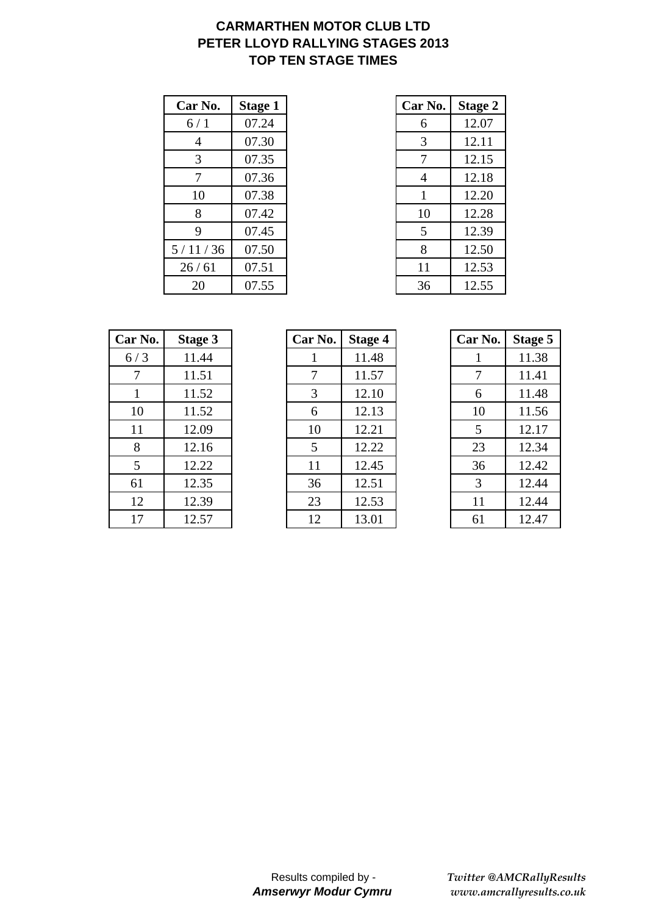# **CARMARTHEN MOTOR CLUB LTD PETER LLOYD RALLYING STAGES 2013 TOP TEN STAGE TIMES**

| Car No. | <b>Stage 1</b> | Car No. | <b>Stage 2</b> |
|---------|----------------|---------|----------------|
| 6/1     | 07.24          | 6       | 12.07          |
| 4       | 07.30          | 3       | 12.11          |
| 3       | 07.35          | 7       | 12.15          |
| 7       | 07.36          | 4       | 12.18          |
| 10      | 07.38          | 1       | 12.20          |
| 8       | 07.42          | 10      | 12.28          |
| 9       | 07.45          | 5       | 12.39          |
| 5/11/36 | 07.50          | 8       | 12.50          |
| 26/61   | 07.51          | 11      | 12.53          |
| 20      | 07.55          | 36      | 12.55          |

| r No.          | <b>Stage 1</b> | Car No. | <b>Stage 2</b> |
|----------------|----------------|---------|----------------|
| 5/1            | 07.24          | 6       | 12.07          |
| $\overline{4}$ | 07.30          | 3       | 12.11          |
| 3              | 07.35          | 7       | 12.15          |
| 7              | 07.36          | 4       | 12.18          |
| 10             | 07.38          |         | 12.20          |
| 8              | 07.42          | 10      | 12.28          |
| 9              | 07.45          | 5       | 12.39          |
| 1/36           | 07.50          | 8       | 12.50          |
| 6/61           | 07.51          | 11      | 12.53          |
| 20             | 07.55          | 36      | 12.55          |

| Car No. | Stage 3 | Car No. | <b>Stage 4</b> | Car No. | <b>Stage 5</b> |
|---------|---------|---------|----------------|---------|----------------|
| 6/3     | 11.44   |         | 11.48          |         | 11.38          |
| 7       | 11.51   | 7       | 11.57          | 7       | 11.41          |
|         | 11.52   | 3       | 12.10          | 6       | 11.48          |
| 10      | 11.52   | 6       | 12.13          | 10      | 11.56          |
| 11      | 12.09   | 10      | 12.21          | 5       | 12.17          |
| 8       | 12.16   | 5       | 12.22          | 23      | 12.34          |
| 5       | 12.22   | 11      | 12.45          | 36      | 12.42          |
| 61      | 12.35   | 36      | 12.51          | 3       | 12.44          |
| 12      | 12.39   | 23      | 12.53          | 11      | 12.44          |
| 17      | 12.57   | 12      | 13.01          | 61      | 12.47          |

| ar No.          | <b>Stage 3</b> | Car No. | <b>Stage 4</b> | Car No. | <b>Stage</b> |
|-----------------|----------------|---------|----------------|---------|--------------|
| 6/3             | 11.44          |         | 11.48          |         | 11.38        |
| 7               | 11.51          |         | 11.57          | 7       | 11.41        |
| $\mathbf{1}$    | 11.52          | 3       | 12.10          | 6       | 11.48        |
| 10              | 11.52          | 6       | 12.13          | 10      | 11.56        |
| 11              | 12.09          | 10      | 12.21          | 5       | 12.17        |
| 8               | 12.16          | 5       | 12.22          | 23      | 12.34        |
| $5\overline{)}$ | 12.22          | 11      | 12.45          | 36      | 12.42        |
| 61              | 12.35          | 36      | 12.51          | 3       | 12.44        |
| 12              | 12.39          | 23      | 12.53          | 11      | 12.44        |
| 17              | 12.57          | 12      | 13.01          | 61      | 12.47        |

| Car No. | <b>Stage 5</b> |
|---------|----------------|
| 1       | 11.38          |
| 7       | 11.41          |
| 6       | 11.48          |
| 10      | 11.56          |
| 5       | 12.17          |
| 23      | 12.34          |
| 36      | 12.42          |
| 3       | 12.44          |
| 11      | 12.44          |
| 61      | 12.47          |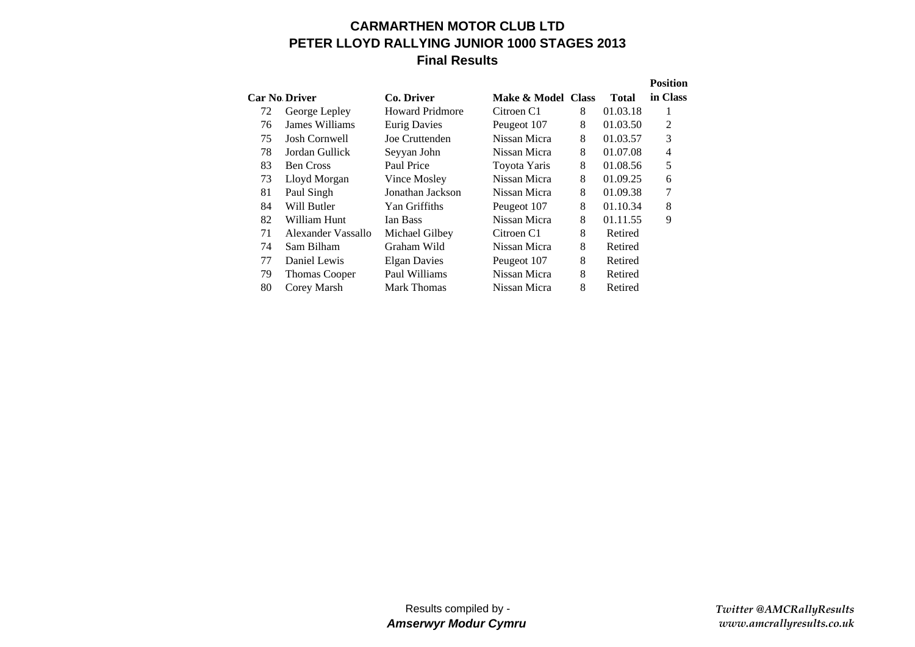## **CARMARTHEN MOTOR CLUB LTDPETER LLOYD RALLYING JUNIOR 1000 STAGES 2013 Final Results**

|    |                      |                        |                    |   |              | <b>Position</b> |
|----|----------------------|------------------------|--------------------|---|--------------|-----------------|
|    | <b>Car No Driver</b> | Co. Driver             | Make & Model Class |   | <b>Total</b> | in Class        |
| 72 | George Lepley        | <b>Howard Pridmore</b> | Citroen C1         | 8 | 01.03.18     | 1               |
| 76 | James Williams       | <b>Eurig Davies</b>    | Peugeot 107        | 8 | 01.03.50     | $\overline{2}$  |
| 75 | <b>Josh Cornwell</b> | Joe Cruttenden         | Nissan Micra       | 8 | 01.03.57     | 3               |
| 78 | Jordan Gullick       | Seyyan John            | Nissan Micra       | 8 | 01.07.08     | $\overline{4}$  |
| 83 | <b>Ben Cross</b>     | Paul Price             | Toyota Yaris       | 8 | 01.08.56     | 5               |
| 73 | Lloyd Morgan         | Vince Mosley           | Nissan Micra       | 8 | 01.09.25     | 6               |
| 81 | Paul Singh           | Jonathan Jackson       | Nissan Micra       | 8 | 01.09.38     | 7               |
| 84 | Will Butler          | Yan Griffiths          | Peugeot 107        | 8 | 01.10.34     | 8               |
| 82 | William Hunt         | Ian Bass               | Nissan Micra       | 8 | 01.11.55     | 9               |
| 71 | Alexander Vassallo   | Michael Gilbey         | Citroen C1         | 8 | Retired      |                 |
| 74 | Sam Bilham           | Graham Wild            | Nissan Micra       | 8 | Retired      |                 |
| 77 | Daniel Lewis         | <b>Elgan Davies</b>    | Peugeot 107        | 8 | Retired      |                 |
| 79 | <b>Thomas Cooper</b> | Paul Williams          | Nissan Micra       | 8 | Retired      |                 |
| 80 | Corey Marsh          | <b>Mark Thomas</b>     | Nissan Micra       | 8 | Retired      |                 |
|    |                      |                        |                    |   |              |                 |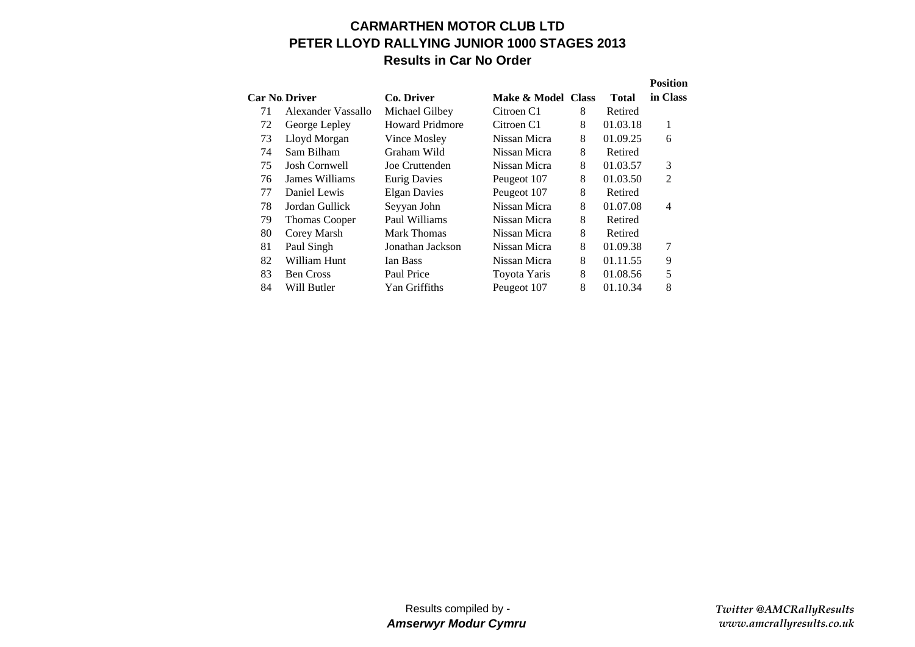### **CARMARTHEN MOTOR CLUB LTDPETER LLOYD RALLYING JUNIOR 1000 STAGES 2013 Results in Car No Order**

|                      |                      |                        |                    |   |              | <b>Position</b> |
|----------------------|----------------------|------------------------|--------------------|---|--------------|-----------------|
| <b>Car No Driver</b> |                      | Co. Driver             | Make & Model Class |   | <b>Total</b> | in Class        |
| 71                   | Alexander Vassallo   | Michael Gilbey         | Citroen C1         | 8 | Retired      |                 |
| 72                   | George Lepley        | <b>Howard Pridmore</b> | Citroen C1         | 8 | 01.03.18     | 1               |
| 73                   | Lloyd Morgan         | Vince Mosley           | Nissan Micra       | 8 | 01.09.25     | 6               |
| 74                   | Sam Bilham           | Graham Wild            | Nissan Micra       | 8 | Retired      |                 |
| 75                   | <b>Josh Cornwell</b> | Joe Cruttenden         | Nissan Micra       | 8 | 01.03.57     | 3               |
| 76                   | James Williams       | <b>Eurig Davies</b>    | Peugeot 107        | 8 | 01.03.50     | $\overline{2}$  |
| 77                   | Daniel Lewis         | <b>Elgan Davies</b>    | Peugeot 107        | 8 | Retired      |                 |
| 78                   | Jordan Gullick       | Seyyan John            | Nissan Micra       | 8 | 01.07.08     | $\overline{4}$  |
| 79                   | <b>Thomas Cooper</b> | Paul Williams          | Nissan Micra       | 8 | Retired      |                 |
| 80                   | Corey Marsh          | Mark Thomas            | Nissan Micra       | 8 | Retired      |                 |
| 81                   | Paul Singh           | Jonathan Jackson       | Nissan Micra       | 8 | 01.09.38     | 7               |
| 82                   | William Hunt         | Ian Bass               | Nissan Micra       | 8 | 01.11.55     | 9               |
| 83                   | <b>Ben Cross</b>     | Paul Price             | Toyota Yaris       | 8 | 01.08.56     | 5               |
| 84                   | Will Butler          | Yan Griffiths          | Peugeot 107        | 8 | 01.10.34     | 8               |